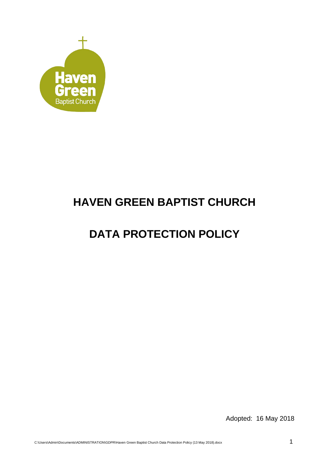

## **HAVEN GREEN BAPTIST CHURCH**

# **DATA PROTECTION POLICY**

Adopted: 16 May 2018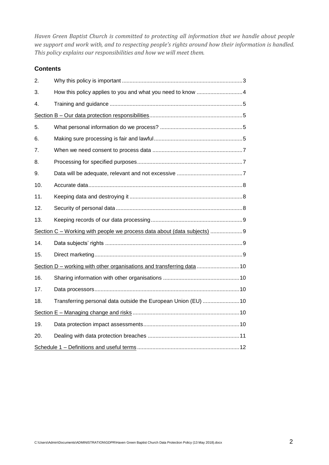*Haven Green Baptist Church is committed to protecting all information that we handle about people we support and work with, and to respecting people's rights around how their information is handled. This policy explains our responsibilities and how we will meet them.*

## **Contents**

| 2.                                                                       |                                                               |
|--------------------------------------------------------------------------|---------------------------------------------------------------|
| 3.                                                                       |                                                               |
| 4.                                                                       |                                                               |
|                                                                          |                                                               |
| 5.                                                                       |                                                               |
| 6.                                                                       |                                                               |
| 7.                                                                       |                                                               |
| 8.                                                                       |                                                               |
| 9.                                                                       |                                                               |
| 10.                                                                      |                                                               |
| 11.                                                                      |                                                               |
| 12.                                                                      |                                                               |
| 13.                                                                      |                                                               |
| Section C - Working with people we process data about (data subjects)  9 |                                                               |
| 14.                                                                      |                                                               |
| 15.                                                                      |                                                               |
| Section D - working with other organisations and transferring data10     |                                                               |
| 16.                                                                      |                                                               |
| 17.                                                                      |                                                               |
| 18.                                                                      | Transferring personal data outside the European Union (EU) 10 |
|                                                                          |                                                               |
| 19.                                                                      |                                                               |
| 20.                                                                      |                                                               |
|                                                                          |                                                               |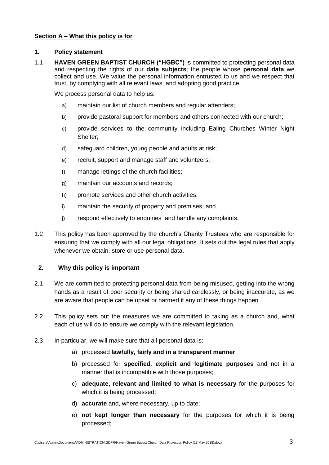## **Section A – What this policy is for**

#### **1. Policy statement**

1.1 **HAVEN GREEN BAPTIST CHURCH ("HGBC")** is committed to protecting personal data and respecting the rights of our **data subjects**; the people whose **personal data** we collect and use. We value the personal information entrusted to us and we respect that trust, by complying with all relevant laws, and adopting good practice.

We process personal data to help us:

- a) maintain our list of church members and regular attenders;
- b) provide pastoral support for members and others connected with our church;
- c) provide services to the community including Ealing Churches Winter Night Shelter;
- d) safeguard children, young people and adults at risk;
- e) recruit, support and manage staff and volunteers;
- f) manage lettings of the church facilities;
- g) maintain our accounts and records;
- h) promote services and other church activities;
- i) maintain the security of property and premises; and
- j) respond effectively to enquiries and handle any complaints.
- 1.2 This policy has been approved by the church's Charity Trustees who are responsible for ensuring that we comply with all our legal obligations. It sets out the legal rules that apply whenever we obtain, store or use personal data.

#### **2. Why this policy is important**

- 2.1 We are committed to protecting personal data from being misused, getting into the wrong hands as a result of poor security or being shared carelessly, or being inaccurate, as we are aware that people can be upset or harmed if any of these things happen.
- 2.2 This policy sets out the measures we are committed to taking as a church and, what each of us will do to ensure we comply with the relevant legislation.
- 2.3 In particular, we will make sure that all personal data is:
	- a) processed **lawfully, fairly and in a transparent manner**;
	- b) processed for **specified, explicit and legitimate purposes** and not in a manner that is incompatible with those purposes;
	- c) **adequate, relevant and limited to what is necessary** for the purposes for which it is being processed;
	- d) **accurate** and, where necessary, up to date;
	- e) **not kept longer than necessary** for the purposes for which it is being processed;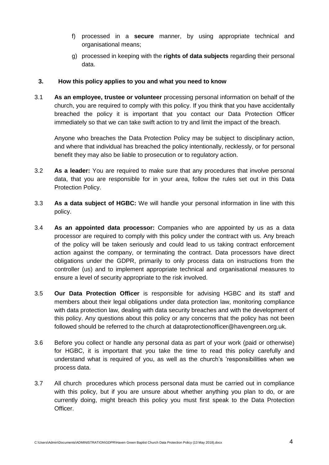- f) processed in a **secure** manner, by using appropriate technical and organisational means;
- g) processed in keeping with the **rights of data subjects** regarding their personal data.

#### **3. How this policy applies to you and what you need to know**

3.1 **As an employee, trustee or volunteer** processing personal information on behalf of the church, you are required to comply with this policy. If you think that you have accidentally breached the policy it is important that you contact our Data Protection Officer immediately so that we can take swift action to try and limit the impact of the breach.

Anyone who breaches the Data Protection Policy may be subject to disciplinary action, and where that individual has breached the policy intentionally, recklessly, or for personal benefit they may also be liable to prosecution or to regulatory action.

- 3.2 **As a leader:** You are required to make sure that any procedures that involve personal data, that you are responsible for in your area, follow the rules set out in this Data Protection Policy.
- 3.3 **As a data subject of HGBC:** We will handle your personal information in line with this policy.
- 3.4 **As an appointed data processor:** Companies who are appointed by us as a data processor are required to comply with this policy under the contract with us. Any breach of the policy will be taken seriously and could lead to us taking contract enforcement action against the company, or terminating the contract. Data processors have direct obligations under the GDPR, primarily to only process data on instructions from the controller (us) and to implement appropriate technical and organisational measures to ensure a level of security appropriate to the risk involved.
- 3.5 **Our Data Protection Officer** is responsible for advising HGBC and its staff and members about their legal obligations under data protection law, monitoring compliance with data protection law, dealing with data security breaches and with the development of this policy. Any questions about this policy or any concerns that the policy has not been followed should be referred to the church at dataprotectionofficer@havengreen.org.uk.
- 3.6 Before you collect or handle any personal data as part of your work (paid or otherwise) for HGBC, it is important that you take the time to read this policy carefully and understand what is required of you, as well as the church's 'responsibilities when we process data.
- 3.7 All church procedures which process personal data must be carried out in compliance with this policy, but if you are unsure about whether anything you plan to do, or are currently doing, might breach this policy you must first speak to the Data Protection Officer.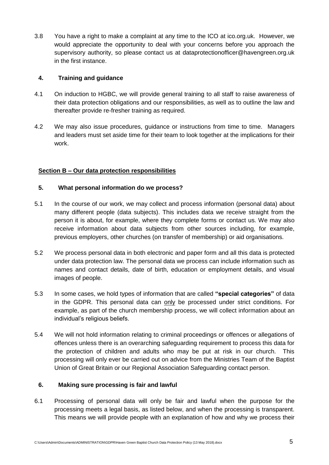3.8 You have a right to make a complaint at any time to the ICO at ico.org.uk. However, we would appreciate the opportunity to deal with your concerns before you approach the supervisory authority, so please contact us at dataprotectionofficer@havengreen.org.uk in the first instance.

## **4. Training and guidance**

- 4.1 On induction to HGBC, we will provide general training to all staff to raise awareness of their data protection obligations and our responsibilities, as well as to outline the law and thereafter provide re-fresher training as required.
- 4.2 We may also issue procedures, guidance or instructions from time to time. Managers and leaders must set aside time for their team to look together at the implications for their work.

## **Section B – Our data protection responsibilities**

## **5. What personal information do we process?**

- 5.1 In the course of our work, we may collect and process information (personal data) about many different people (data subjects). This includes data we receive straight from the person it is about, for example, where they complete forms or contact us. We may also receive information about data subjects from other sources including, for example, previous employers, other churches (on transfer of membership) or aid organisations.
- 5.2 We process personal data in both electronic and paper form and all this data is protected under data protection law. The personal data we process can include information such as names and contact details, date of birth, education or employment details, and visual images of people.
- 5.3 In some cases, we hold types of information that are called **"special categories"** of data in the GDPR. This personal data can only be processed under strict conditions. For example, as part of the church membership process, we will collect information about an individual's religious beliefs.
- 5.4 We will not hold information relating to criminal proceedings or offences or allegations of offences unless there is an overarching safeguarding requirement to process this data for the protection of children and adults who may be put at risk in our church. This processing will only ever be carried out on advice from the Ministries Team of the Baptist Union of Great Britain or our Regional Association Safeguarding contact person.

## **6. Making sure processing is fair and lawful**

6.1 Processing of personal data will only be fair and lawful when the purpose for the processing meets a legal basis, as listed below, and when the processing is transparent. This means we will provide people with an explanation of how and why we process their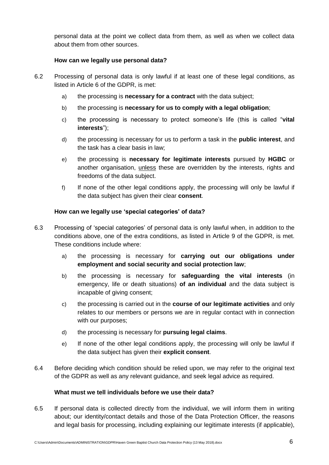personal data at the point we collect data from them, as well as when we collect data about them from other sources.

## **How can we legally use personal data?**

- 6.2 Processing of personal data is only lawful if at least one of these legal conditions, as listed in Article 6 of the GDPR, is met:
	- a) the processing is **necessary for a contract** with the data subject;
	- b) the processing is **necessary for us to comply with a legal obligation**;
	- c) the processing is necessary to protect someone's life (this is called "**vital interests**");
	- d) the processing is necessary for us to perform a task in the **public interest**, and the task has a clear basis in law;
	- e) the processing is **necessary for legitimate interests** pursued by **HGBC** or another organisation, unless these are overridden by the interests, rights and freedoms of the data subject.
	- f) If none of the other legal conditions apply, the processing will only be lawful if the data subject has given their clear **consent**.

## **How can we legally use 'special categories' of data?**

- 6.3 Processing of 'special categories' of personal data is only lawful when, in addition to the conditions above, one of the extra conditions, as listed in Article 9 of the GDPR, is met. These conditions include where:
	- a) the processing is necessary for **carrying out our obligations under employment and social security and social protection law**;
	- b) the processing is necessary for **safeguarding the vital interests** (in emergency, life or death situations) **of an individual** and the data subject is incapable of giving consent;
	- c) the processing is carried out in the **course of our legitimate activities** and only relates to our members or persons we are in regular contact with in connection with our purposes;
	- d) the processing is necessary for **pursuing legal claims**.
	- e) If none of the other legal conditions apply, the processing will only be lawful if the data subject has given their **explicit consent**.
- 6.4 Before deciding which condition should be relied upon, we may refer to the original text of the GDPR as well as any relevant guidance, and seek legal advice as required.

#### **What must we tell individuals before we use their data?**

<span id="page-5-0"></span>6.5 If personal data is collected directly from the individual, we will inform them in writing about; our identity/contact details and those of the Data Protection Officer, the reasons and legal basis for processing, including explaining our legitimate interests (if applicable),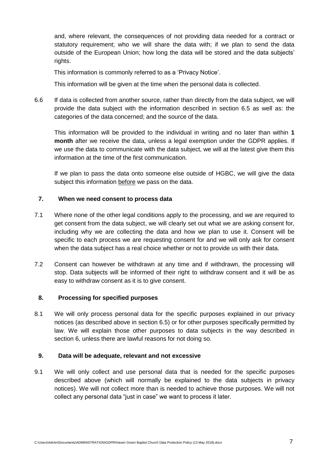and, where relevant, the consequences of not providing data needed for a contract or statutory requirement; who we will share the data with; if we plan to send the data outside of the European Union; how long the data will be stored and the data subjects' rights.

This information is commonly referred to as a 'Privacy Notice'.

This information will be given at the time when the personal data is collected.

6.6 If data is collected from another source, rather than directly from the data subject, we will provide the data subject with the information described in section [6.5](#page-5-0) as well as: the categories of the data concerned; and the source of the data.

This information will be provided to the individual in writing and no later than within **1 month** after we receive the data, unless a legal exemption under the GDPR applies. If we use the data to communicate with the data subject, we will at the latest give them this information at the time of the first communication.

If we plan to pass the data onto someone else outside of HGBC, we will give the data subject this information before we pass on the data.

#### **7. When we need consent to process data**

- 7.1 Where none of the other legal conditions apply to the processing, and we are required to get consent from the data subject, we will clearly set out what we are asking consent for, including why we are collecting the data and how we plan to use it. Consent will be specific to each process we are requesting consent for and we will only ask for consent when the data subject has a real choice whether or not to provide us with their data.
- 7.2 Consent can however be withdrawn at any time and if withdrawn, the processing will stop. Data subjects will be informed of their right to withdraw consent and it will be as easy to withdraw consent as it is to give consent.

#### **8. Processing for specified purposes**

8.1 We will only process personal data for the specific purposes explained in our privacy notices (as described above in section [6.5\)](#page-5-0) or for other purposes specifically permitted by law. We will explain those other purposes to data subjects in the way described in section 6, unless there are lawful reasons for not doing so.

#### **9. Data will be adequate, relevant and not excessive**

9.1 We will only collect and use personal data that is needed for the specific purposes described above (which will normally be explained to the data subjects in privacy notices). We will not collect more than is needed to achieve those purposes. We will not collect any personal data "just in case" we want to process it later.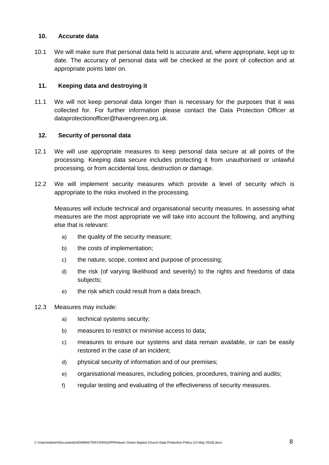#### **10. Accurate data**

10.1 We will make sure that personal data held is accurate and, where appropriate, kept up to date. The accuracy of personal data will be checked at the point of collection and at appropriate points later on.

#### **11. Keeping data and destroying it**

11.1 We will not keep personal data longer than is necessary for the purposes that it was collected for. For further information please contact the Data Protection Officer at dataprotectionofficer@havengreen.org.uk.

#### **12. Security of personal data**

- 12.1 We will use appropriate measures to keep personal data secure at all points of the processing. Keeping data secure includes protecting it from unauthorised or unlawful processing, or from accidental loss, destruction or damage.
- 12.2 We will implement security measures which provide a level of security which is appropriate to the risks involved in the processing.

Measures will include technical and organisational security measures. In assessing what measures are the most appropriate we will take into account the following, and anything else that is relevant:

- a) the quality of the security measure;
- b) the costs of implementation;
- c) the nature, scope, context and purpose of processing;
- d) the risk (of varying likelihood and severity) to the rights and freedoms of data subjects;
- e) the risk which could result from a data breach.

#### 12.3 Measures may include:

- a) technical systems security;
- b) measures to restrict or minimise access to data;
- c) measures to ensure our systems and data remain available, or can be easily restored in the case of an incident;
- d) physical security of information and of our premises;
- e) organisational measures, including policies, procedures, training and audits;
- f) regular testing and evaluating of the effectiveness of security measures.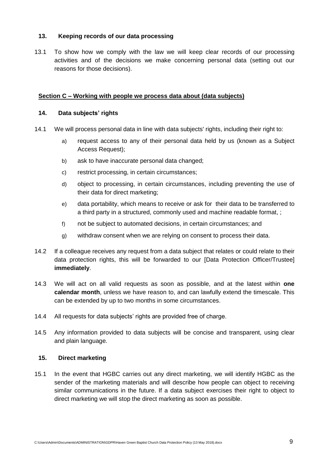#### **13. Keeping records of our data processing**

13.1 To show how we comply with the law we will keep clear records of our processing activities and of the decisions we make concerning personal data (setting out our reasons for those decisions).

#### **Section C – Working with people we process data about (data subjects)**

#### **14. Data subjects' rights**

- 14.1 We will process personal data in line with data subjects' rights, including their right to:
	- a) request access to any of their personal data held by us (known as a Subject Access Request);
	- b) ask to have inaccurate personal data changed;
	- c) restrict processing, in certain circumstances;
	- d) object to processing, in certain circumstances, including preventing the use of their data for direct marketing;
	- e) data portability, which means to receive or ask for their data to be transferred to a third party in a structured, commonly used and machine readable format, ;
	- f) not be subject to automated decisions, in certain circumstances; and
	- g) withdraw consent when we are relying on consent to process their data.
- 14.2 If a colleague receives any request from a data subject that relates or could relate to their data protection rights, this will be forwarded to our [Data Protection Officer/Trustee] **immediately**.
- 14.3 We will act on all valid requests as soon as possible, and at the latest within **one calendar month**, unless we have reason to, and can lawfully extend the timescale. This can be extended by up to two months in some circumstances.
- 14.4 All requests for data subjects' rights are provided free of charge.
- 14.5 Any information provided to data subjects will be concise and transparent, using clear and plain language.

#### **15. Direct marketing**

15.1 In the event that HGBC carries out any direct marketing, we will identify HGBC as the sender of the marketing materials and will describe how people can object to receiving similar communications in the future. If a data subject exercises their right to object to direct marketing we will stop the direct marketing as soon as possible.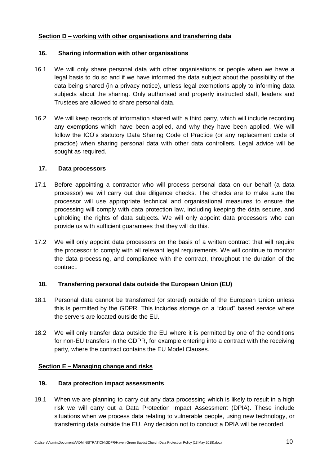## **Section D – working with other organisations and transferring data**

## **16. Sharing information with other organisations**

- 16.1 We will only share personal data with other organisations or people when we have a legal basis to do so and if we have informed the data subject about the possibility of the data being shared (in a privacy notice), unless legal exemptions apply to informing data subjects about the sharing. Only authorised and properly instructed staff, leaders and Trustees are allowed to share personal data.
- 16.2 We will keep records of information shared with a third party, which will include recording any exemptions which have been applied, and why they have been applied. We will follow the ICO's statutory Data Sharing Code of Practice (or any replacement code of practice) when sharing personal data with other data controllers. Legal advice will be sought as required.

## **17. Data processors**

- 17.1 Before appointing a contractor who will process personal data on our behalf (a data processor) we will carry out due diligence checks. The checks are to make sure the processor will use appropriate technical and organisational measures to ensure the processing will comply with data protection law, including keeping the data secure, and upholding the rights of data subjects. We will only appoint data processors who can provide us with sufficient guarantees that they will do this.
- 17.2 We will only appoint data processors on the basis of a written contract that will require the processor to comply with all relevant legal requirements. We will continue to monitor the data processing, and compliance with the contract, throughout the duration of the contract.

## **18. Transferring personal data outside the European Union (EU)**

- 18.1 Personal data cannot be transferred (or stored) outside of the European Union unless this is permitted by the GDPR. This includes storage on a "cloud" based service where the servers are located outside the EU.
- 18.2 We will only transfer data outside the EU where it is permitted by one of the conditions for non-EU transfers in the GDPR, for example entering into a contract with the receiving party, where the contract contains the EU Model Clauses.

## **Section E – Managing change and risks**

## **19. Data protection impact assessments**

19.1 When we are planning to carry out any data processing which is likely to result in a high risk we will carry out a Data Protection Impact Assessment (DPIA). These include situations when we process data relating to vulnerable people, using new technology, or transferring data outside the EU. Any decision not to conduct a DPIA will be recorded.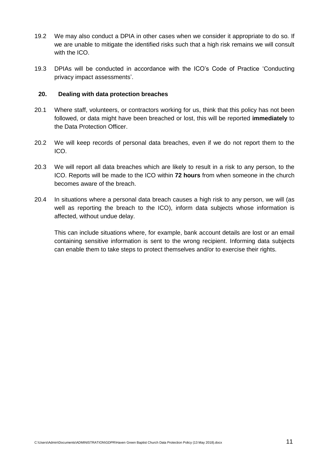- 19.2 We may also conduct a DPIA in other cases when we consider it appropriate to do so. If we are unable to mitigate the identified risks such that a high risk remains we will consult with the ICO.
- 19.3 DPIAs will be conducted in accordance with the ICO's Code of Practice ['Conducting](https://ico.org.uk/media/for-organisations/documents/1595/pia-code-of-practice.pdf)  [privacy impact assessments'](https://ico.org.uk/media/for-organisations/documents/1595/pia-code-of-practice.pdf).

#### **20. Dealing with data protection breaches**

- 20.1 Where staff, volunteers, or contractors working for us, think that this policy has not been followed, or data might have been breached or lost, this will be reported **immediately** to the Data Protection Officer.
- 20.2 We will keep records of personal data breaches, even if we do not report them to the ICO.
- 20.3 We will report all data breaches which are likely to result in a risk to any person, to the ICO. Reports will be made to the ICO within **72 hours** from when someone in the church becomes aware of the breach.
- 20.4 In situations where a personal data breach causes a high risk to any person, we will (as well as reporting the breach to the ICO), inform data subjects whose information is affected, without undue delay.

This can include situations where, for example, bank account details are lost or an email containing sensitive information is sent to the wrong recipient. Informing data subjects can enable them to take steps to protect themselves and/or to exercise their rights.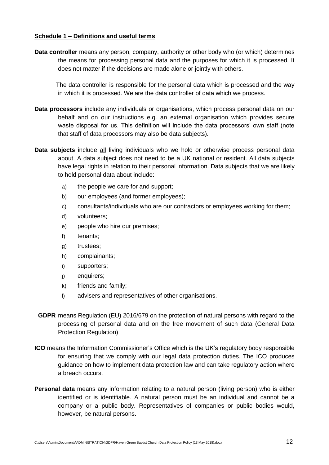#### **Schedule 1 – Definitions and useful terms**

**Data controller** means any person, company, authority or other body who (or which) determines the means for processing personal data and the purposes for which it is processed. It does not matter if the decisions are made alone or jointly with others.

The data controller is responsible for the personal data which is processed and the way in which it is processed. We are the data controller of data which we process.

- **Data processors** include any individuals or organisations, which process personal data on our behalf and on our instructions e.g. an external organisation which provides secure waste disposal for us. This definition will include the data processors' own staff (note that staff of data processors may also be data subjects).
- **Data subjects** include all living individuals who we hold or otherwise process personal data about. A data subject does not need to be a UK national or resident. All data subjects have legal rights in relation to their personal information. Data subjects that we are likely to hold personal data about include:
	- a) the people we care for and support;
	- b) our employees (and former employees);
	- c) consultants/individuals who are our contractors or employees working for them;
	- d) volunteers;
	- e) people who hire our premises;
	- f) tenants;
	- g) trustees;
	- h) complainants;
	- i) supporters;
	- j) enquirers;
	- k) friends and family;
	- l) advisers and representatives of other organisations.
- **GDPR** means Regulation (EU) 2016/679 on the protection of natural persons with regard to the processing of personal data and on the free movement of such data (General Data Protection Regulation)
- **ICO** means the Information Commissioner's Office which is the UK's regulatory body responsible for ensuring that we comply with our legal data protection duties. The ICO produces guidance on how to implement data protection law and can take regulatory action where a breach occurs.
- **Personal data** means any information relating to a natural person (living person) who is either identified or is identifiable. A natural person must be an individual and cannot be a company or a public body. Representatives of companies or public bodies would, however, be natural persons.